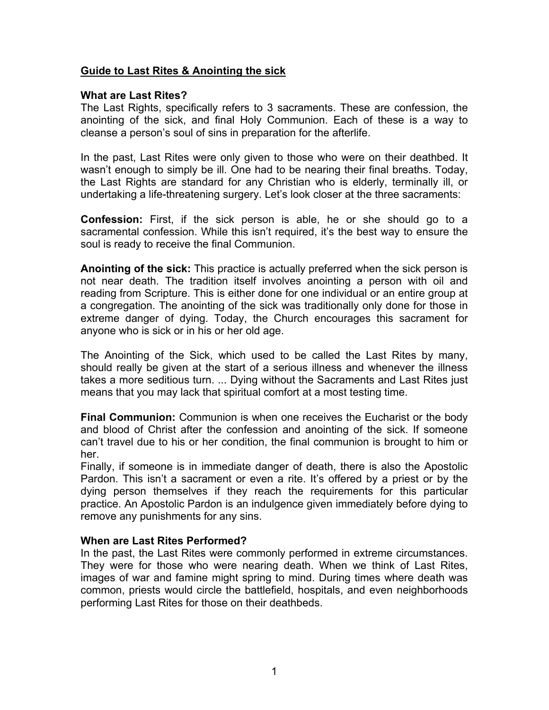# **Guide to Last Rites & Anointing the sick**

## **What are Last Rites?**

The Last Rights, specifically refers to 3 sacraments. These are confession, the anointing of the sick, and final Holy Communion. Each of these is a way to cleanse a person's soul of sins in preparation for the afterlife.

In the past, Last Rites were only given to those who were on their deathbed. It wasn't enough to simply be ill. One had to be nearing their final breaths. Today, the Last Rights are standard for any Christian who is elderly, terminally ill, or undertaking a life-threatening surgery. Let's look closer at the three sacraments:

**Confession:** First, if the sick person is able, he or she should go to a sacramental confession. While this isn't required, it's the best way to ensure the soul is ready to receive the final Communion.

**Anointing of the sick:** This practice is actually preferred when the sick person is not near death. The tradition itself involves anointing a person with oil and reading from Scripture. This is either done for one individual or an entire group at a congregation. The anointing of the sick was traditionally only done for those in extreme danger of dying. Today, the Church encourages this sacrament for anyone who is sick or in his or her old age.

The Anointing of the Sick, which used to be called the Last Rites by many, should really be given at the start of a serious illness and whenever the illness takes a more seditious turn. ... Dying without the Sacraments and Last Rites just means that you may lack that spiritual comfort at a most testing time.

**Final Communion:** Communion is when one receives the Eucharist or the body and blood of Christ after the confession and anointing of the sick. If someone can't travel due to his or her condition, the final communion is brought to him or her.

Finally, if someone is in immediate danger of death, there is also the Apostolic Pardon. This isn't a sacrament or even a rite. It's offered by a priest or by the dying person themselves if they reach the requirements for this particular practice. An Apostolic Pardon is an indulgence given immediately before dying to remove any punishments for any sins.

# **When are Last Rites Performed?**

In the past, the Last Rites were commonly performed in extreme circumstances. They were for those who were nearing death. When we think of Last Rites, images of war and famine might spring to mind. During times where death was common, priests would circle the battlefield, hospitals, and even neighborhoods performing Last Rites for those on their deathbeds.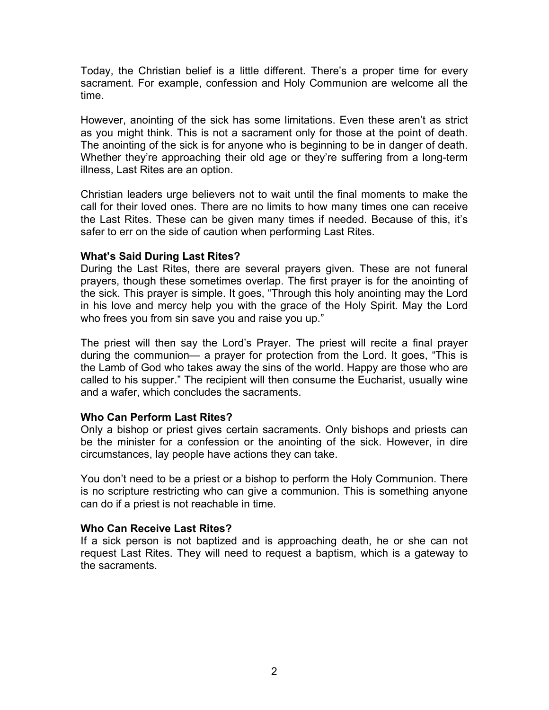Today, the Christian belief is a little different. There's a proper time for every sacrament. For example, confession and Holy Communion are welcome all the time.

However, anointing of the sick has some limitations. Even these aren't as strict as you might think. This is not a sacrament only for those at the point of death. The anointing of the sick is for anyone who is beginning to be in danger of death. Whether they're approaching their old age or they're suffering from a long-term illness, Last Rites are an option.

Christian leaders urge believers not to wait until the final moments to make the call for their loved ones. There are no limits to how many times one can receive the Last Rites. These can be given many times if needed. Because of this, it's safer to err on the side of caution when performing Last Rites.

# **What's Said During Last Rites?**

During the Last Rites, there are several prayers given. These are not funeral prayers, though these sometimes overlap. The first prayer is for the anointing of the sick. This prayer is simple. It goes, "Through this holy anointing may the Lord in his love and mercy help you with the grace of the Holy Spirit. May the Lord who frees you from sin save you and raise you up."

The priest will then say the Lord's Prayer. The priest will recite a final prayer during the communion— a prayer for protection from the Lord. It goes, "This is the Lamb of God who takes away the sins of the world. Happy are those who are called to his supper." The recipient will then consume the Eucharist, usually wine and a wafer, which concludes the sacraments.

# **Who Can Perform Last Rites?**

Only a bishop or priest gives certain sacraments. Only bishops and priests can be the minister for a confession or the anointing of the sick. However, in dire circumstances, lay people have actions they can take.

You don't need to be a priest or a bishop to perform the Holy Communion. There is no scripture restricting who can give a communion. This is something anyone can do if a priest is not reachable in time.

# **Who Can Receive Last Rites?**

If a sick person is not baptized and is approaching death, he or she can not request Last Rites. They will need to request a baptism, which is a gateway to the sacraments.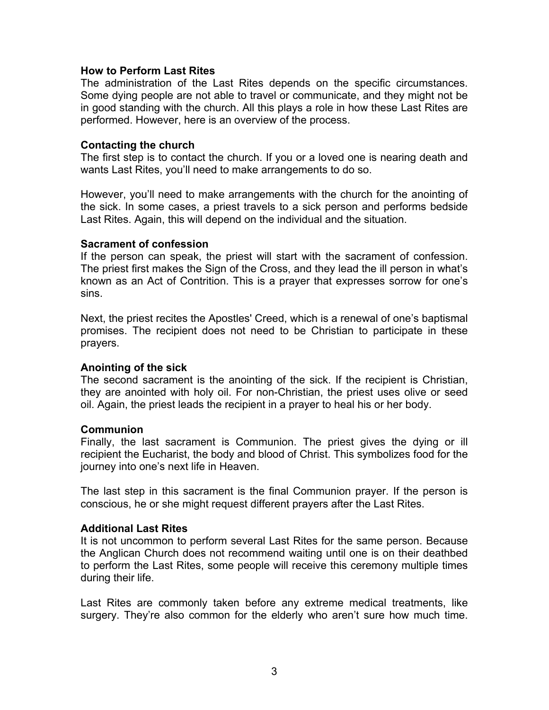### **How to Perform Last Rites**

The administration of the Last Rites depends on the specific circumstances. Some dying people are not able to travel or communicate, and they might not be in good standing with the church. All this plays a role in how these Last Rites are performed. However, here is an overview of the process.

### **Contacting the church**

The first step is to contact the church. If you or a loved one is nearing death and wants Last Rites, you'll need to make arrangements to do so.

However, you'll need to make arrangements with the church for the anointing of the sick. In some cases, a priest travels to a sick person and performs bedside Last Rites. Again, this will depend on the individual and the situation.

### **Sacrament of confession**

If the person can speak, the priest will start with the sacrament of confession. The priest first makes the Sign of the Cross, and they lead the ill person in what's known as an Act of Contrition. This is a prayer that expresses sorrow for one's sins.

Next, the priest recites the Apostles' Creed, which is a renewal of one's baptismal promises. The recipient does not need to be Christian to participate in these prayers.

# **Anointing of the sick**

The second sacrament is the anointing of the sick. If the recipient is Christian, they are anointed with holy oil. For non-Christian, the priest uses olive or seed oil. Again, the priest leads the recipient in a prayer to heal his or her body.

### **Communion**

Finally, the last sacrament is Communion. The priest gives the dying or ill recipient the Eucharist, the body and blood of Christ. This symbolizes food for the journey into one's next life in Heaven.

The last step in this sacrament is the final Communion prayer. If the person is conscious, he or she might request different prayers after the Last Rites.

### **Additional Last Rites**

It is not uncommon to perform several Last Rites for the same person. Because the Anglican Church does not recommend waiting until one is on their deathbed to perform the Last Rites, some people will receive this ceremony multiple times during their life.

Last Rites are commonly taken before any extreme medical treatments, like surgery. They're also common for the elderly who aren't sure how much time.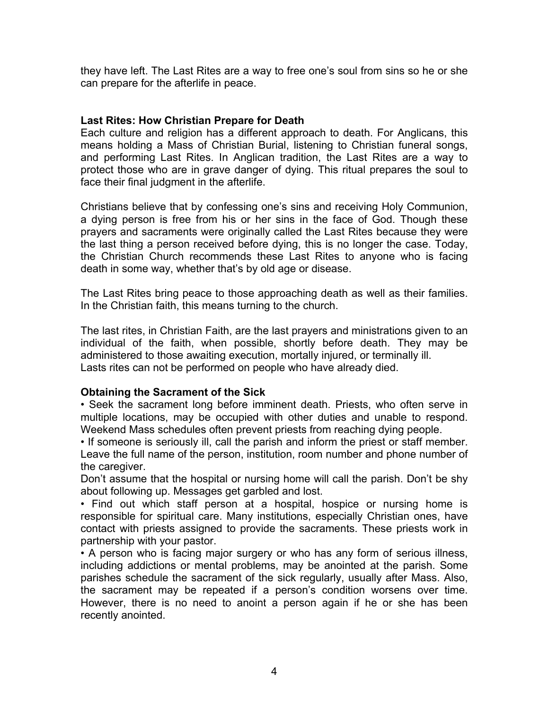they have left. The Last Rites are a way to free one's soul from sins so he or she can prepare for the afterlife in peace.

## **Last Rites: How Christian Prepare for Death**

Each culture and religion has a different approach to death. For Anglicans, this means holding a Mass of Christian Burial, listening to Christian funeral songs, and performing Last Rites. In Anglican tradition, the Last Rites are a way to protect those who are in grave danger of dying. This ritual prepares the soul to face their final judgment in the afterlife.

Christians believe that by confessing one's sins and receiving Holy Communion, a dying person is free from his or her sins in the face of God. Though these prayers and sacraments were originally called the Last Rites because they were the last thing a person received before dying, this is no longer the case. Today, the Christian Church recommends these Last Rites to anyone who is facing death in some way, whether that's by old age or disease.

The Last Rites bring peace to those approaching death as well as their families. In the Christian faith, this means turning to the church.

The last rites, in Christian Faith, are the last prayers and ministrations given to an individual of the faith, when possible, shortly before death. They may be administered to those awaiting execution, mortally injured, or terminally ill. Lasts rites can not be performed on people who have already died.

### **Obtaining the Sacrament of the Sick**

• Seek the sacrament long before imminent death. Priests, who often serve in multiple locations, may be occupied with other duties and unable to respond. Weekend Mass schedules often prevent priests from reaching dying people.

• If someone is seriously ill, call the parish and inform the priest or staff member. Leave the full name of the person, institution, room number and phone number of the caregiver.

Don't assume that the hospital or nursing home will call the parish. Don't be shy about following up. Messages get garbled and lost.

• Find out which staff person at a hospital, hospice or nursing home is responsible for spiritual care. Many institutions, especially Christian ones, have contact with priests assigned to provide the sacraments. These priests work in partnership with your pastor.

• A person who is facing major surgery or who has any form of serious illness, including addictions or mental problems, may be anointed at the parish. Some parishes schedule the sacrament of the sick regularly, usually after Mass. Also, the sacrament may be repeated if a person's condition worsens over time. However, there is no need to anoint a person again if he or she has been recently anointed.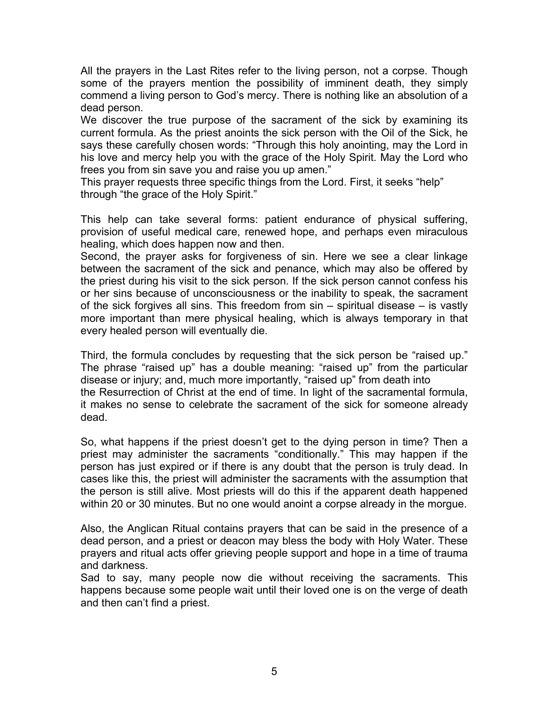All the prayers in the Last Rites refer to the living person, not a corpse. Though some of the prayers mention the possibility of imminent death, they simply commend a living person to God's mercy. There is nothing like an absolution of a dead person.

We discover the true purpose of the sacrament of the sick by examining its current formula. As the priest anoints the sick person with the Oil of the Sick, he says these carefully chosen words: "Through this holy anointing, may the Lord in his love and mercy help you with the grace of the Holy Spirit. May the Lord who frees you from sin save you and raise you up amen."

This prayer requests three specific things from the Lord. First, it seeks "help" through "the grace of the Holy Spirit."

This help can take several forms: patient endurance of physical suffering, provision of useful medical care, renewed hope, and perhaps even miraculous healing, which does happen now and then.

Second, the prayer asks for forgiveness of sin. Here we see a clear linkage between the sacrament of the sick and penance, which may also be offered by the priest during his visit to the sick person. If the sick person cannot confess his or her sins because of unconsciousness or the inability to speak, the sacrament of the sick forgives all sins. This freedom from sin – spiritual disease – is vastly more important than mere physical healing, which is always temporary in that every healed person will eventually die.

Third, the formula concludes by requesting that the sick person be "raised up." The phrase "raised up" has a double meaning: "raised up" from the particular disease or injury; and, much more importantly, "raised up" from death into the Resurrection of Christ at the end of time. In light of the sacramental formula, it makes no sense to celebrate the sacrament of the sick for someone already dead.

So, what happens if the priest doesn't get to the dying person in time? Then a priest may administer the sacraments "conditionally." This may happen if the person has just expired or if there is any doubt that the person is truly dead. In cases like this, the priest will administer the sacraments with the assumption that the person is still alive. Most priests will do this if the apparent death happened within 20 or 30 minutes. But no one would anoint a corpse already in the morgue.

Also, the Anglican Ritual contains prayers that can be said in the presence of a dead person, and a priest or deacon may bless the body with Holy Water. These prayers and ritual acts offer grieving people support and hope in a time of trauma and darkness.

Sad to say, many people now die without receiving the sacraments. This happens because some people wait until their loved one is on the verge of death and then can't find a priest.